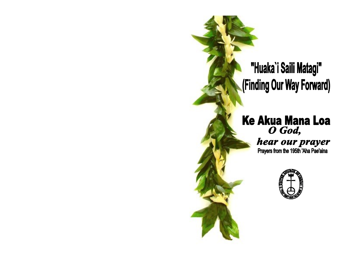# "Huaka'i Saili Matagi" (Finding Our Way Forward)

# **Ke Akua Mana Loa** O God,

hear our prayer Prayers from the 195th 'Aha Pae'aina

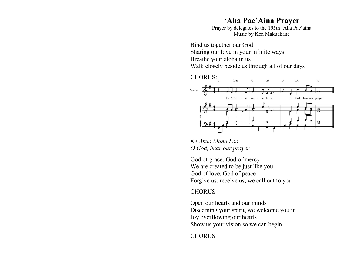# **'Aha Pae'Aina Prayer**

Prayer by delegates to the 195th 'Aha Pae'aina Music by Ken Makuakane

Bind us together our God Sharing our love in your infinite ways Breathe your aloha in us Walk closely beside us through all of our days



*Ke Akua Mana Loa O God, hear our prayer.* 

God of grace, God of mercy We are created to be just like you God of love, God of peace Forgive us, receive us, we call out to you

#### **CHORUS**

Open our hearts and our minds Discerning your spirit, we welcome you in Joy overflowing our hearts Show us your vision so we can begin

**CHORUS**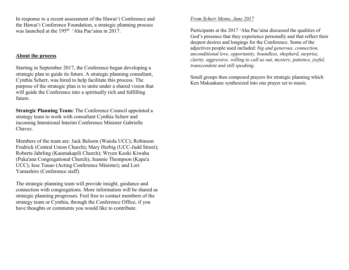In response to a recent [assessment](http://www.hcucc.org/hcucc-assessment) of the Hawai'i Conference and the Hawai'i Conference Foundation, a strategic planning process was launched at the  $195<sup>th</sup>$  'Aha Pae'aina in 2017.

#### **About the process**

Starting in September 2017, the Conference began developing a strategic plan to guide its future. A strategic planning consultant, Cynthia Scherr, was hired to help facilitate this process. The purpose of the strategic plan is to unite under a shared vision that will guide the Conference into a spiritually rich and fulfilling future.

**Strategic Planning Team:** The Conference Council appointed a strategy team to work with consultant Cynthia Scherr and incoming Intentional Interim Conference Minister Gabrielle Chavez.

Members of the team are: Jack Belsom (Waiola UCC); Robinson Fredrick (Central Union Church); Mary Herbig (UCC-Judd Street); Roberta Jahrling (Kaumakapili Church); Wryen Keoki Kiwaha (Puka'ana Congregational Church); Jeannie Thompson (Kapa'a UCC); Iese Tuuao (Acting Conference Minister); and Lori Yamashiro (Conference staff).

The strategic planning team will provide insight, guidance and connection with congregations. More information will be shared as strategic planning progresses. Feel free to contact members of the strategy team or Cynthia, through the Conference Office, if you have thoughts or comments you would like to contribute.

#### *From Scherr Memo, June 2017*

Participants at the 2017 'Aha Pae'aina discussed the qualities of God's presence that they experience personally and that reflect their deepest desires and longings for the Conference. Some of the adjectives people used included: *big and generous, connection, unconditional love, opportunity, boundless, shepherd, surprise, clarity, aggressive, willing to call us out, mystery, patience, joyful, transcendent and still speaking.*

Small groups then composed prayers for strategic planning which Ken Makuakane synthesized into one prayer set to music.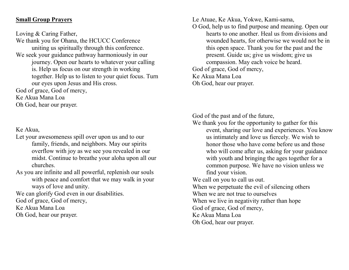### **Small Group Prayers**

Loving & Caring Father,

We thank you for Ohana, the HCUCC Conference uniting us spiritually through this conference. We seek your guidance pathway harmoniously in our journey. Open our hearts to whatever your calling is. Help us focus on our strength in working together. Help us to listen to your quiet focus. Turn our eyes upon Jesus and His cross. God of grace, God of mercy,

Ke Akua Mana Loa

Oh God, hear our prayer.

## Ke Akua,

- Let your awesomeness spill over upon us and to our family, friends, and neighbors. May our spirits overflow with joy as we see you revealed in our midst. Continue to breathe your aloha upon all our churches.
- As you are infinite and all powerful, replenish our souls with peace and comfort that we may walk in your ways of love and unity.

We can glorify God even in our disabilities.

God of grace, God of mercy,

Ke Akua Mana Loa

Oh God, hear our prayer.

Le Atuae, Ke Akua, Yokwe, Kami-sama,

O God, help us to find purpose and meaning. Open our hearts to one another. Heal us from divisions and wounded hearts, for otherwise we would not be in this open space. Thank you for the past and the present. Guide us; give us wisdom; give us compassion. May each voice be heard. God of grace, God of mercy, Ke Akua Mana Loa Oh God, hear our prayer.

God of the past and of the future,

We thank you for the opportunity to gather for this event, sharing our love and experiences. You know us intimately and love us fiercely. We wish to honor those who have come before us and those who will come after us, asking for your guidance with youth and bringing the ages together for a common purpose. We have no vision unless we find your vision.

We call on you to call us out.

When we perpetuate the evil of silencing others

When we are not true to ourselves

When we live in negativity rather than hope

God of grace, God of mercy,

Ke Akua Mana Loa

Oh God, hear our prayer.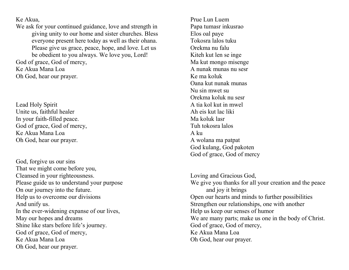Ke Akua,

We ask for your continued guidance, love and strength in giving unity to our home and sister churches. Bless everyone present here today as well as their ohana. Please give us grace, peace, hope, and love. Let us be obedient to you always. We love you, Lord! God of grace, God of mercy,

Ke Akua Mana Loa

Oh God, hear our prayer.

Lead Holy Spirit Unite us, faithful healer In your faith-filled peace. God of grace, God of mercy, Ke Akua Mana Loa Oh God, hear our prayer.

God, forgive us our sins That we might come before you, Cleansed in your righteousness. Please guide us to understand your purpose On our journey into the future. Help us to overcome our divisions And unify us. In the ever-widening expanse of our lives, May our hopes and dreams Shine like stars before life's journey. God of grace, God of mercy, Ke Akua Mana Loa Oh God, hear our prayer.

Prue Lun Luem Papa tumasr inkusrao Elos oal paye Tokosra lalos tuku Orekma nu falu Kiteh kut len se inge Ma kut mongo misenge A nunak munas nu sesr Ke ma koluk Oana kut nunak munas Nu sin mwet su Orekma koluk nu sesr A tia kol kut in mwel Ah eis kut lac liki Ma koluk lasr Tuh tokosra lalos A ku A wolana ma patpat God kulang, God pakoten God of grace, God of mercy

Loving and Gracious God, We give you thanks for all your creation and the peace and joy it brings Open our hearts and minds to further possibilities Strengthen our relationships, one with another Help us keep our senses of humor We are many parts; make us one in the body of Christ. God of grace, God of mercy, Ke Akua Mana Loa Oh God, hear our prayer.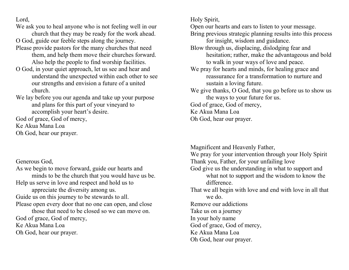Lord,

We ask you to heal anyone who is not feeling well in our

church that they may be ready for the work ahead. O God, guide our feeble steps along the journey.

- Please provide pastors for the many churches that need them, and help them move their churches forward. Also help the people to find worship facilities.
- O God, in your quiet approach, let us see and hear and understand the unexpected within each other to see our strengths and envision a future of a united church.
- We lay before you our agenda and take up your purpose and plans for this part of your vineyard to accomplish your heart's desire.

God of grace, God of mercy,

Ke Akua Mana Loa

Oh God, hear our prayer.

Generous God,

As we begin to move forward, guide our hearts and minds to be the church that you would have us be. Help us serve in love and respect and hold us to appreciate the diversity among us. Guide us on this journey to be stewards to all. Please open every door that no one can open, and close those that need to be closed so we can move on. God of grace, God of mercy, Ke Akua Mana Loa Oh God, hear our prayer.

Holy Spirit,

Open our hearts and ears to listen to your message.

- Bring previous strategic planning results into this process for insight, wisdom and guidance.
- Blow through us, displacing, dislodging fear and hesitation; rather, make the advantageous and bold to walk in your ways of love and peace.
- We pray for hearts and minds, for healing grace and reassurance for a transformation to nurture and sustain a loving future.
- We give thanks, O God, that you go before us to show us the ways to your future for us.
- God of grace, God of mercy,
- Ke Akua Mana Loa
- Oh God, hear our prayer.

Magnificent and Heavenly Father,

- We pray for your intervention through your Holy Spirit Thank you, Father, for your unfailing love God give us the understanding in what to support and what not to support and the wisdom to know the difference. That we all begin with love and end with love in all that we do. Remove our addictions Take us on a journey In your holy name God of grace, God of mercy, Ke Akua Mana Loa
- Oh God, hear our prayer.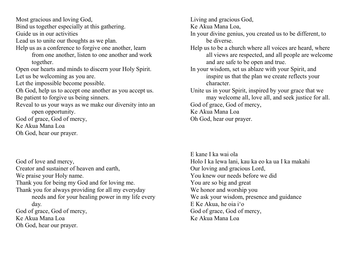Most gracious and loving God, Bind us together especially at this gathering.

Guide us in our activities

Lead us to unite our thoughts as we plan.

Help us as a conference to forgive one another, learn

from one another, listen to one another and work together.

Open our hearts and minds to discern your Holy Spirit. Let us be welcoming as you are.

Let the impossible become possible.

Oh God, help us to accept one another as you accept us. Be patient to forgive us being sinners.

Reveal to us your ways as we make our diversity into an open opportunity.

God of grace, God of mercy,

Ke Akua Mana Loa

Oh God, hear our prayer.

God of love and mercy, Creator and sustainer of heaven and earth, We praise your Holy name. Thank you for being my God and for loving me. Thank you for always providing for all my everyday needs and for your healing power in my life every day. God of grace, God of mercy, Ke Akua Mana Loa

Oh God, hear our prayer.

Living and gracious God,

Ke Akua Mana Loa,

- In your divine genius, you created us to be different, to be diverse.
- Help us to be a church where all voices are heard, where all views are respected, and all people are welcome and are safe to be open and true.
- In your wisdom, set us ablaze with your Spirit, and inspire us that the plan we create reflects your character.
- Unite us in your Spirit, inspired by your grace that we may welcome all, love all, and seek justice for all. God of grace, God of mercy,

Ke Akua Mana Loa

Oh God, hear our prayer.

E kane I ka wai ola Holo I ka lewa lani, kau ka eo ka ua I ka makahi Our loving and gracious Lord, You knew our needs before we did You are so big and great We honor and worship you We ask your wisdom, presence and guidance E Ke Akua, he oia i'o God of grace, God of mercy, Ke Akua Mana Loa